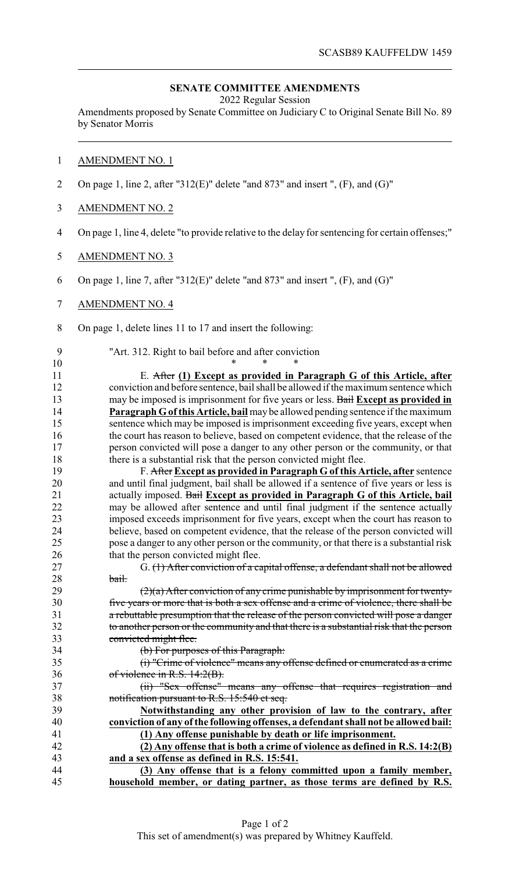## **SENATE COMMITTEE AMENDMENTS**

2022 Regular Session

Amendments proposed by Senate Committee on Judiciary C to Original Senate Bill No. 89 by Senator Morris

## AMENDMENT NO. 1

- On page 1, line 2, after "312(E)" delete "and 873" and insert ", (F), and (G)"
- AMENDMENT NO. 2
- On page 1, line 4, delete "to provide relative to the delay for sentencing for certain offenses;"
- AMENDMENT NO. 3
- On page 1, line 7, after "312(E)" delete "and 873" and insert ", (F), and (G)"
- AMENDMENT NO. 4
- On page 1, delete lines 11 to 17 and insert the following:

\* \* \*

"Art. 312. Right to bail before and after conviction

 E. After **(1) Except as provided in Paragraph G of this Article, after** conviction and before sentence, bail shall be allowed if the maximum sentence which may be imposed is imprisonment for five years or less. Bail **Except as provided in Paragraph Gof this Article, bail** may be allowed pending sentence if the maximum sentence which may be imposed is imprisonment exceeding five years, except when the court has reason to believe, based on competent evidence, that the release of the person convicted will pose a danger to any other person or the community, or that 18 there is a substantial risk that the person convicted might flee.

 F. After **Except as provided in Paragraph G of this Article, after** sentence and until final judgment, bail shall be allowed if a sentence of five years or less is actually imposed. Bail **Except as provided in Paragraph G of this Article, bail** may be allowed after sentence and until final judgment if the sentence actually imposed exceeds imprisonment for five years, except when the court has reason to believe, based on competent evidence, that the release of the person convicted will pose a danger to any other person or the community, or that there is a substantial risk 26 that the person convicted might flee.

 G. (1) After conviction of a capital offense, a defendant shall not be allowed 28 bail.

 $(2)(a)$  After conviction of any crime punishable by imprisonment for twenty- five years or more that is both a sex offense and a crime of violence, there shall be a rebuttable presumption that the release of the person convicted will pose a danger to another person or the community and that there is a substantial risk that the person convicted might flee.

(b) For purposes of this Paragraph:

 (i) "Crime of violence" means any offense defined or enumerated as a crime 36 of violence in R.S.  $14:2(B)$ .

37 (ii) "Sex offense" means any offense that requires registration and notification pursuant to R.S. 15:540 et seq.

 **Notwithstanding any other provision of law to the contrary, after conviction of any ofthe following offenses, a defendant shall not be allowed bail: (1) Any offense punishable by death or life imprisonment.**

 **(2) Any offense that is both a crime of violence as defined in R.S. 14:2(B) and a sex offense as defined in R.S. 15:541.**

 **(3) Any offense that is a felony committed upon a family member, household member, or dating partner, as those terms are defined by R.S.**